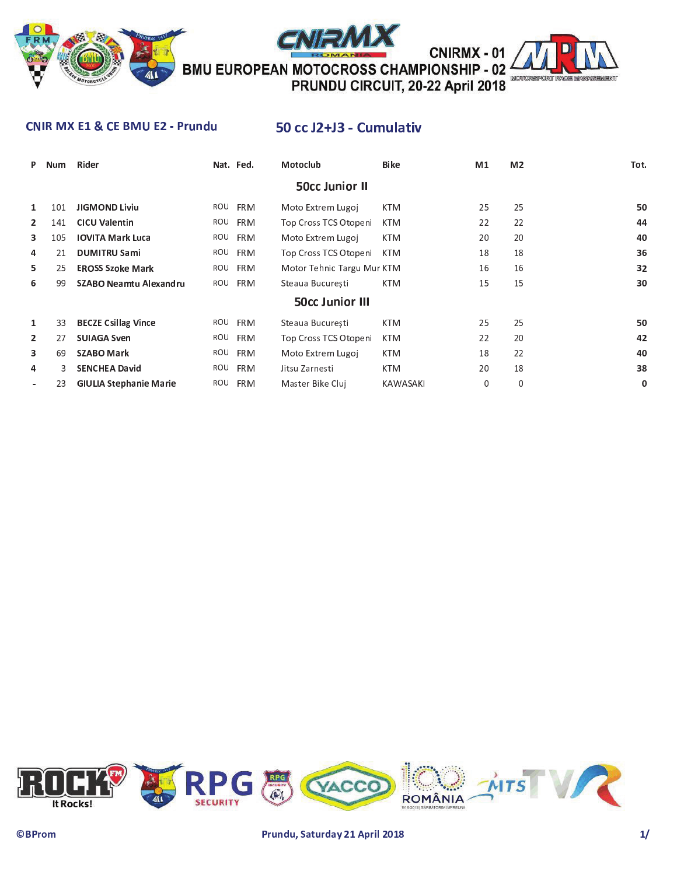

**CNIRMX - 01** BMU EUROPEAN MOTOCROSS CHAMPIONSHIP - 02



#### **CNIR MX E1 & CE BMU E2 - Prundu**

## 50 cc J2+J3 - Cumulativ

| P                     | Num | Rider                         |     | Nat. Fed.  | Motoclub                   | <b>Bike</b>     | M1 | M <sub>2</sub> | Tot. |  |  |
|-----------------------|-----|-------------------------------|-----|------------|----------------------------|-----------------|----|----------------|------|--|--|
| <b>50cc Junior II</b> |     |                               |     |            |                            |                 |    |                |      |  |  |
| 1                     | 101 | <b>JIGMOND Liviu</b>          | ROU | <b>FRM</b> | Moto Extrem Lugoj          | <b>KTM</b>      | 25 | 25             | 50   |  |  |
| $\mathbf{2}$          | 141 | <b>CICU Valentin</b>          | ROU | <b>FRM</b> | Top Cross TCS Otopeni      | <b>KTM</b>      | 22 | 22             | 44   |  |  |
| 3                     | 105 | <b>IOVITA Mark Luca</b>       | ROU | <b>FRM</b> | Moto Extrem Lugoj          | <b>KTM</b>      | 20 | 20             | 40   |  |  |
| 4                     | 21  | <b>DUMITRU Sami</b>           | ROU | <b>FRM</b> | Top Cross TCS Otopeni      | <b>KTM</b>      | 18 | 18             | 36   |  |  |
| 5.                    | 25  | <b>EROSS Szoke Mark</b>       | ROU | <b>FRM</b> | Motor Tehnic Targu Mur KTM |                 | 16 | 16             | 32   |  |  |
| 6                     | 99  | SZABO Neamtu Alexandru        | ROU | <b>FRM</b> | Steaua Bucuresti           | <b>KTM</b>      | 15 | 15             | 30   |  |  |
|                       |     |                               |     |            | <b>50cc Junior III</b>     |                 |    |                |      |  |  |
| 1                     | 33  | <b>BECZE Csillag Vince</b>    | ROU | <b>FRM</b> | Steaua Bucuresti           | <b>KTM</b>      | 25 | 25             | 50   |  |  |
| $\overline{2}$        | 27  | <b>SUIAGA Sven</b>            | ROU | <b>FRM</b> | Top Cross TCS Otopeni      | <b>KTM</b>      | 22 | 20             | 42   |  |  |
| 3                     | 69  | <b>SZABO Mark</b>             | ROU | <b>FRM</b> | Moto Extrem Lugoj          | <b>KTM</b>      | 18 | 22             | 40   |  |  |
| 4                     | ٩   | <b>SENCHEA David</b>          | ROU | <b>FRM</b> | Jitsu Zarnesti             | <b>KTM</b>      | 20 | 18             | 38   |  |  |
|                       | 23  | <b>GIULIA Stephanie Marie</b> | ROU | <b>FRM</b> | Master Bike Clui           | <b>KAWASAKI</b> | 0  | 0              | 0    |  |  |

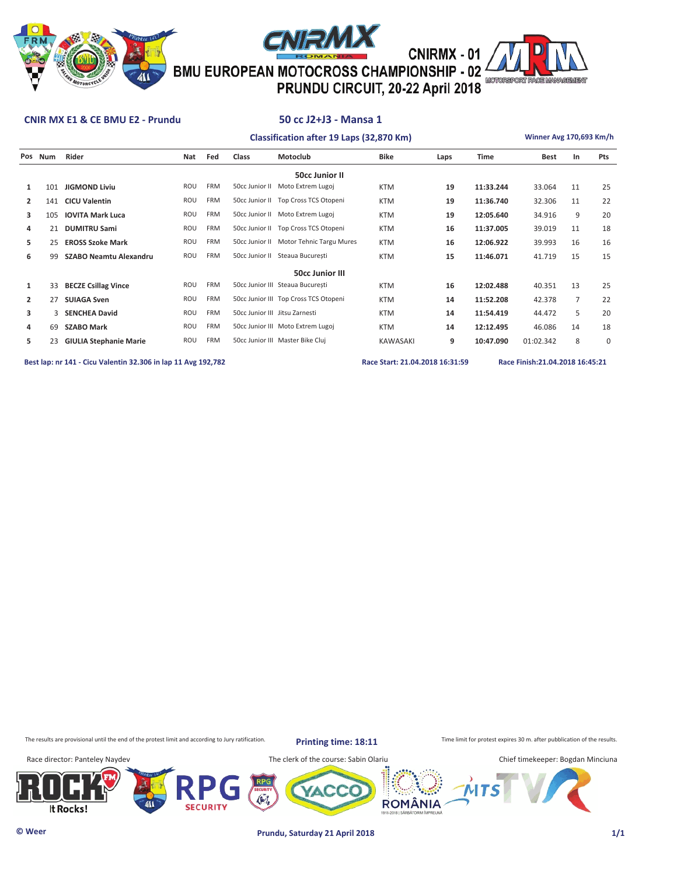





# CNIRMX - 01<br><sup>2</sup> CNIRMX - 01<br><sup>2</sup> PRUNDU CIRCUIT, 20-22 April 2018

#### **CNIR MX E1 & CE BMU E2 - Prundu 50 cc J2+J3 - Mansa 1**

#### **Classification after 19 Laps (32,870 Km) Winner Avg 170,693 Km/h**

**Pos Num Rider Nat Fed Class Motoclub Bike Laps Time Best In Pts**

|                | <b>50cc Junior II</b>  |                               |            |            |                                |                                         |                 |    |           |           |                |             |  |
|----------------|------------------------|-------------------------------|------------|------------|--------------------------------|-----------------------------------------|-----------------|----|-----------|-----------|----------------|-------------|--|
|                | 101                    | <b>JIGMOND Liviu</b>          | ROU        | <b>FRM</b> | 50cc Junior II                 | Moto Extrem Lugoj                       | <b>KTM</b>      | 19 | 11:33.244 | 33.064    | 11             | 25          |  |
| $\mathbf{2}$   | 141                    | <b>CICU Valentin</b>          | ROU        | <b>FRM</b> |                                | 50cc Junior II Top Cross TCS Otopeni    | <b>KTM</b>      | 19 | 11:36.740 | 32.306    | 11             | 22          |  |
| 3              | 105                    | <b>IOVITA Mark Luca</b>       | ROU        | FRM        |                                | 50cc Junior II Moto Extrem Lugoj        | <b>KTM</b>      | 19 | 12:05.640 | 34.916    | 9              | 20          |  |
| 4              | 21                     | <b>DUMITRU Sami</b>           | ROU        | <b>FRM</b> |                                | 50cc Junior II Top Cross TCS Otopeni    | <b>KTM</b>      | 16 | 11:37.005 | 39.019    | 11             | 18          |  |
| 5              | 25                     | <b>EROSS Szoke Mark</b>       | ROU        | <b>FRM</b> |                                | 50cc Junior II Motor Tehnic Targu Mures | <b>KTM</b>      | 16 | 12:06.922 | 39.993    | 16             | 16          |  |
| 6              | 99                     | SZABO Neamtu Alexandru        | <b>ROU</b> | <b>FRM</b> | 50cc Junior II                 | Steaua Bucuresti                        | <b>KTM</b>      | 15 | 11:46.071 | 41.719    | 15             | 15          |  |
|                | <b>50cc Junior III</b> |                               |            |            |                                |                                         |                 |    |           |           |                |             |  |
| 1              | 33                     | <b>BECZE Csillag Vince</b>    | ROU        | <b>FRM</b> |                                | 50cc Junior III Steaua Bucuresti        | <b>KTM</b>      | 16 | 12:02.488 | 40.351    | 13             | 25          |  |
| $\overline{2}$ | 27                     | <b>SUIAGA Sven</b>            | ROU        | <b>FRM</b> |                                | 50cc Junior III Top Cross TCS Otopeni   | <b>KTM</b>      | 14 | 11:52.208 | 42.378    | $\overline{7}$ | 22          |  |
| 3              | 3                      | <b>SENCHEA David</b>          | ROU        | <b>FRM</b> | 50cc Junior III Jitsu Zarnesti |                                         | <b>KTM</b>      | 14 | 11:54.419 | 44.472    | 5              | 20          |  |
| 4              | 69                     | <b>SZABO Mark</b>             | ROU        | <b>FRM</b> |                                | 50cc Junior III Moto Extrem Lugoj       | <b>KTM</b>      | 14 | 12:12.495 | 46.086    | 14             | 18          |  |
| 5.             | 23                     | <b>GIULIA Stephanie Marie</b> | ROU        | <b>FRM</b> |                                | 50cc Junior III Master Bike Cluj        | <b>KAWASAKI</b> | 9  | 10:47.090 | 01:02.342 | 8              | $\mathbf 0$ |  |
|                |                        |                               |            |            |                                |                                         |                 |    |           |           |                |             |  |

**Best lap: nr 141 - Cicu Valentin 32.306 in lap 11 Avg 192,782 Race Start: 21.04.2018 16:31:59 Race Finish:21.04.2018 16:45:21** 

The results are provisional until the end of the protest limit and according to Jury ratification. **Printing time: 18:11** Time limit for protest expires 30 m. after pubblication of the results.

**Printing time: 18:11**

Race director: Panteley Naydev The clerk of the course: Sabin Olariu Chief timekeeper: Bogdan Minciuna





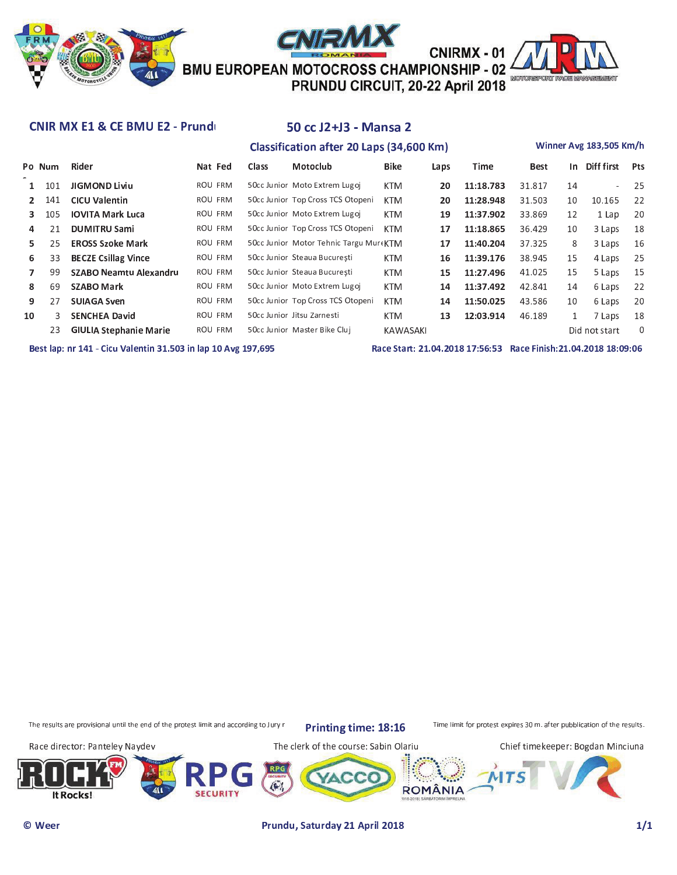

#### CNIR MX E1 & CE BMU E2 - Prund

## 50 cc J2+J3 - Mansa 2 **Classification after 20 Laps (34,600 Km)**

#### Winner Avg 183,505 Km/h

|    | Po Num | Rider                         | Nat Fed | Class | Motoclub                                | <b>Bike</b> | Laps | Time      | Best   | In .         | Diff first    | Pts |
|----|--------|-------------------------------|---------|-------|-----------------------------------------|-------------|------|-----------|--------|--------------|---------------|-----|
|    | 101    | <b>JIGMOND Liviu</b>          | ROU FRM |       | 50cc Junior Moto Extrem Lugoj           | <b>KTM</b>  | 20   | 11:18.783 | 31.817 | 14           |               | -25 |
|    | 141    | <b>CICU Valentin</b>          | ROU FRM |       | 50cc Junior Top Cross TCS Otopeni       | <b>KTM</b>  | 20   | 11:28.948 | 31.503 | 10           | 10.165        | 22  |
|    | 105    | <b>IOVITA Mark Luca</b>       | ROU FRM |       | 50cc Junior Moto Extrem Lugoj           | <b>KTM</b>  | 19   | 11:37.902 | 33.869 | 12           | 1 Lap         | 20  |
| 4  | 21     | <b>DUMITRU Sami</b>           | ROU FRM |       | 50cc Junior Top Cross TCS Otopeni       | <b>KTM</b>  | 17   | 11:18.865 | 36.429 | 10           | 3 Laps        | 18  |
| 5. | 25     | <b>EROSS Szoke Mark</b>       | ROU FRM |       | 50cc Junior Motor Tehnic Targu Mure KTM |             | 17   | 11:40.204 | 37.325 | 8            | 3 Laps        | 16  |
| 6  | 33     | <b>BECZE Csillag Vince</b>    | ROU FRM |       | 50cc Junior Steaua Bucuresti            | <b>KTM</b>  | 16   | 11:39.176 | 38.945 | 15           | 4 Laps        | 25  |
|    | 99     | SZABO Neamtu Alexandru        | ROU FRM |       | 50cc Junior Steaua București            | <b>KTM</b>  | 15   | 11:27.496 | 41.025 | 15           | 5 Laps        | 15  |
| 8  | 69     | <b>SZABO Mark</b>             | ROU FRM |       | 50cc Junior Moto Extrem Lugoj           | <b>KTM</b>  | 14   | 11:37.492 | 42.841 | 14           | 6 Laps        | 22  |
| 9  | 27     | <b>SUIAGA Sven</b>            | ROU FRM |       | 50cc Junior Top Cross TCS Otopeni       | <b>KTM</b>  | 14   | 11:50.025 | 43.586 | 10           | 6 Laps        | 20  |
| 10 | 3      | <b>SENCHEA David</b>          | ROU FRM |       | 50cc Junior Jitsu Zarnesti              | <b>KTM</b>  | 13   | 12:03.914 | 46.189 | $\mathbf{1}$ | 7 Laps        | 18  |
|    | 23     | <b>GIULIA Stephanie Marie</b> | ROU FRM |       | 50cc Junior Master Bike Cluj            | KAWASAKI    |      |           |        |              | Did not start | 0   |
|    |        |                               |         |       |                                         |             |      |           |        |              |               |     |

Best lap: nr 141 - Cicu Valentin 31.503 in lap 10 Avg 197,695

Race Start: 21.04.2018 17:56:53 Race Finish:21.04.2018 18:09:06

The results are provisional until the end of the protest limit and according to Jury r

Printing time: 18:16

Time limit for protest expires 30 m. after pubblication of the results.

Race director: Panteley Naydev

The clerk of the course: Sabin Olariu

Chief timekeeper: Bogdan Minciuna

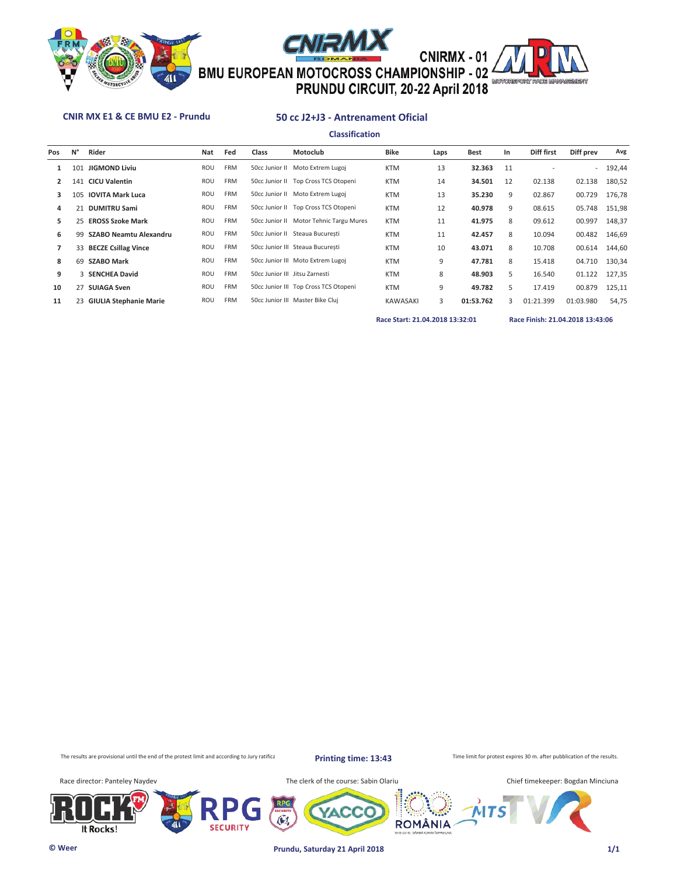





## EMU EUROPEAN MOTOCROSS CHAMPIONSHIP - 02

#### **CNIR MX E1 & CE BMU E2 - Prundu 50 cc J2+J3 - Antrenament Oficial**

**Classification**

| Pos | N°  | Rider                         | Nat        | Fed        | <b>Class</b>                   | Motoclub                                | Bike            | Laps | Best      | In           | Diff first | Diff prev | Avg       |
|-----|-----|-------------------------------|------------|------------|--------------------------------|-----------------------------------------|-----------------|------|-----------|--------------|------------|-----------|-----------|
| 1   | 101 | <b>JIGMOND Liviu</b>          | <b>ROU</b> | <b>FRM</b> |                                | 50cc Junior II Moto Extrem Lugoj        | <b>KTM</b>      | 13   | 32.363    | 11           |            |           | $-192,44$ |
| 2   | 141 | <b>CICU Valentin</b>          | ROU        | <b>FRM</b> |                                | 50cc Junior II Top Cross TCS Otopeni    | <b>KTM</b>      | 14   | 34.501    | 12           | 02.138     | 02.138    | 180,52    |
| 3.  |     | 105 IOVITA Mark Luca          | ROU        | <b>FRM</b> |                                | 50cc Junior II Moto Extrem Lugoj        | <b>KTM</b>      | 13   | 35.230    | 9            | 02.867     | 00.729    | 176,78    |
| 4   | 21  | <b>DUMITRU Sami</b>           | ROU        | <b>FRM</b> |                                | 50cc Junior II Top Cross TCS Otopeni    | <b>KTM</b>      | 12   | 40.978    | 9            | 08.615     | 05.748    | 151,98    |
| 5.  | 25  | <b>EROSS Szoke Mark</b>       | ROU        | <b>FRM</b> |                                | 50cc Junior II Motor Tehnic Targu Mures | <b>KTM</b>      | 11   | 41.975    | 8            | 09.612     | 00.997    | 148,37    |
| 6   | 99  | <b>SZABO Neamtu Alexandru</b> | ROU        | <b>FRM</b> |                                | 50cc Junior II Steaua Bucuresti         | <b>KTM</b>      | 11   | 42.457    | 8            | 10.094     | 00.482    | 146,69    |
|     |     | 33 BECZE Csillag Vince        | ROU        | <b>FRM</b> |                                | 50cc Junior III Steaua Bucuresti        | <b>KTM</b>      | 10   | 43.071    | 8            | 10.708     | 00.614    | 144,60    |
| 8   | 69  | <b>SZABO Mark</b>             | <b>ROU</b> | <b>FRM</b> |                                | 50cc Junior III Moto Extrem Lugoj       | <b>KTM</b>      | 9    | 47.781    | 8            | 15.418     | 04.710    | 130,34    |
| 9   | 3   | <b>SENCHEA David</b>          | <b>ROU</b> | <b>FRM</b> | 50cc Junior III Jitsu Zarnesti |                                         | <b>KTM</b>      | 8    | 48.903    | 5            | 16.540     | 01.122    | 127,35    |
| 10  |     | 27 SUIAGA Sven                | ROU        | <b>FRM</b> |                                | 50cc Junior III Top Cross TCS Otopeni   | <b>KTM</b>      | 9    | 49.782    | 5            | 17.419     | 00.879    | 125,11    |
| 11  |     | 23 GIULIA Stephanie Marie     | <b>ROU</b> | <b>FRM</b> |                                | 50cc Junior III Master Bike Cluj        | <b>KAWASAKI</b> | 3    | 01:53.762 | $\mathbf{R}$ | 01:21.399  | 01:03.980 | 54,75     |

**Race Start: 21.04.2018 13:32:01 Race Finish: 21.04.2018 13:43:06** 

The results are provisional until the end of the protest limit and according to Jury ratification.

**Printing time: 13:43**

**ROMÂNIA** 

Time limit for protest expires 30 m. after pubblication of the results.

Race director: Panteley Naydev Massets Communication of the course: Sabin Olariu







 $\tilde{\mathbf{C}}$ 

**SECURITY**